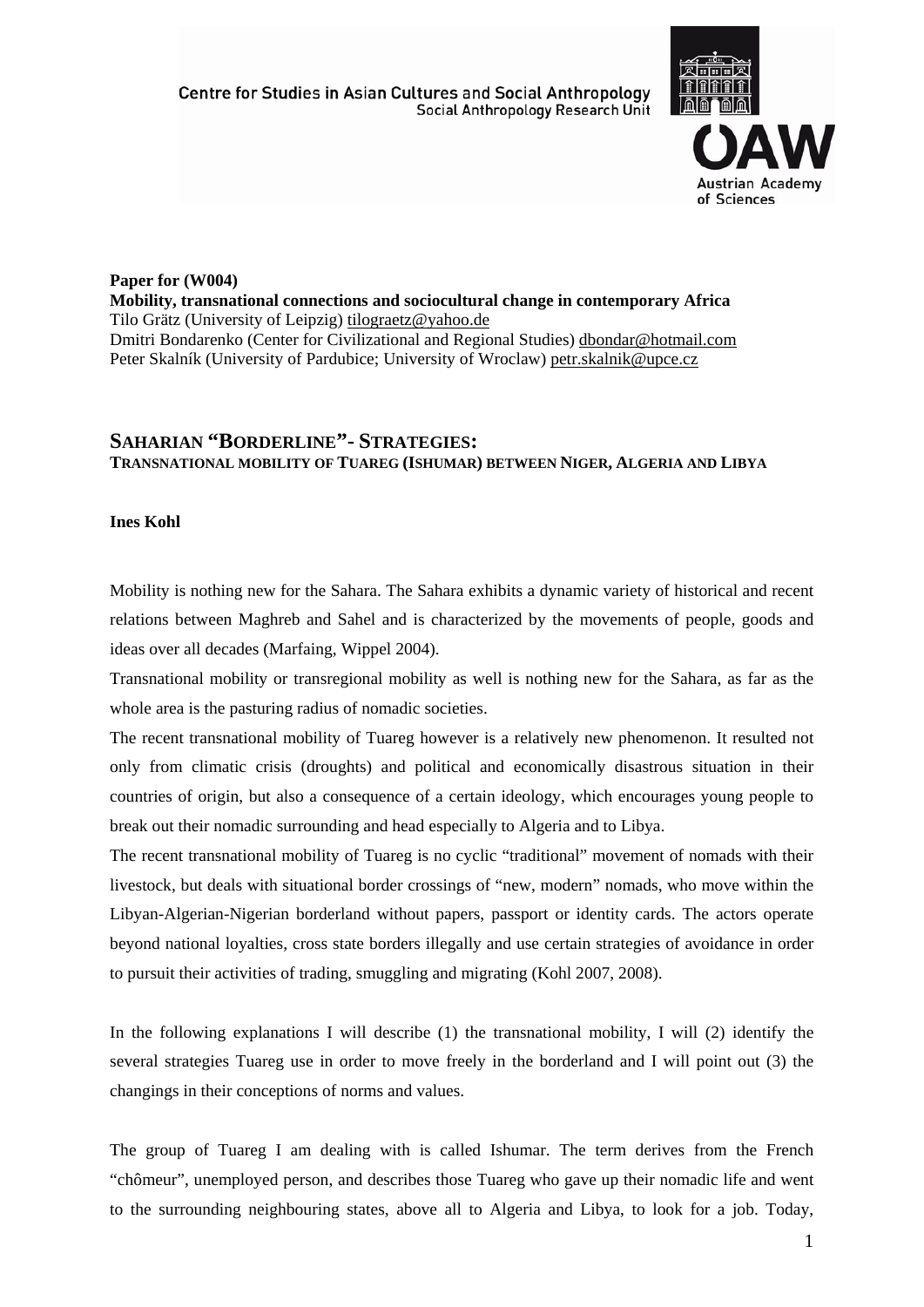

**Paper for (W004) Mobility, transnational connections and sociocultural change in contemporary Africa**  Tilo Grätz (University of Leipzig) [tilograetz@yahoo.de](mailto:tilograetz%40yahoo.de?subject=EASA%202008%20Workshop%20-%20Mobility%2C%20transnational%20connections%20and%20sociocultural%20change%20in%20contemporary%20Africa) Dmitri Bondarenko (Center for Civilizational and Regional Studies) [dbondar@hotmail.com](mailto:dbondar%40hotmail.com?subject=EASA%202008%20Workshop%20-%20Mobility%2C%20transnational%20connections%20and%20sociocultural%20change%20in%20contemporary%20Africa) Peter Skalník (University of Pardubice; University of Wroclaw) [petr.skalnik@upce.cz](mailto:petr.skalnik%40upce.cz?subject=EASA%202008%20Workshop%20-%20Mobility%2C%20transnational%20connections%20and%20sociocultural%20change%20in%20contemporary%20Africa)

# **SAHARIAN "BORDERLINE"- STRATEGIES: TRANSNATIONAL MOBILITY OF TUAREG (ISHUMAR) BETWEEN NIGER, ALGERIA AND LIBYA**

# **Ines Kohl**

Mobility is nothing new for the Sahara. The Sahara exhibits a dynamic variety of historical and recent relations between Maghreb and Sahel and is characterized by the movements of people, goods and ideas over all decades (Marfaing, Wippel 2004).

Transnational mobility or transregional mobility as well is nothing new for the Sahara, as far as the whole area is the pasturing radius of nomadic societies.

The recent transnational mobility of Tuareg however is a relatively new phenomenon. It resulted not only from climatic crisis (droughts) and political and economically disastrous situation in their countries of origin, but also a consequence of a certain ideology, which encourages young people to break out their nomadic surrounding and head especially to Algeria and to Libya.

The recent transnational mobility of Tuareg is no cyclic "traditional" movement of nomads with their livestock, but deals with situational border crossings of "new, modern" nomads, who move within the Libyan-Algerian-Nigerian borderland without papers, passport or identity cards. The actors operate beyond national loyalties, cross state borders illegally and use certain strategies of avoidance in order to pursuit their activities of trading, smuggling and migrating (Kohl 2007, 2008).

In the following explanations I will describe (1) the transnational mobility, I will (2) identify the several strategies Tuareg use in order to move freely in the borderland and I will point out (3) the changings in their conceptions of norms and values.

The group of Tuareg I am dealing with is called Ishumar. The term derives from the French "chômeur", unemployed person, and describes those Tuareg who gave up their nomadic life and went to the surrounding neighbouring states, above all to Algeria and Libya, to look for a job. Today,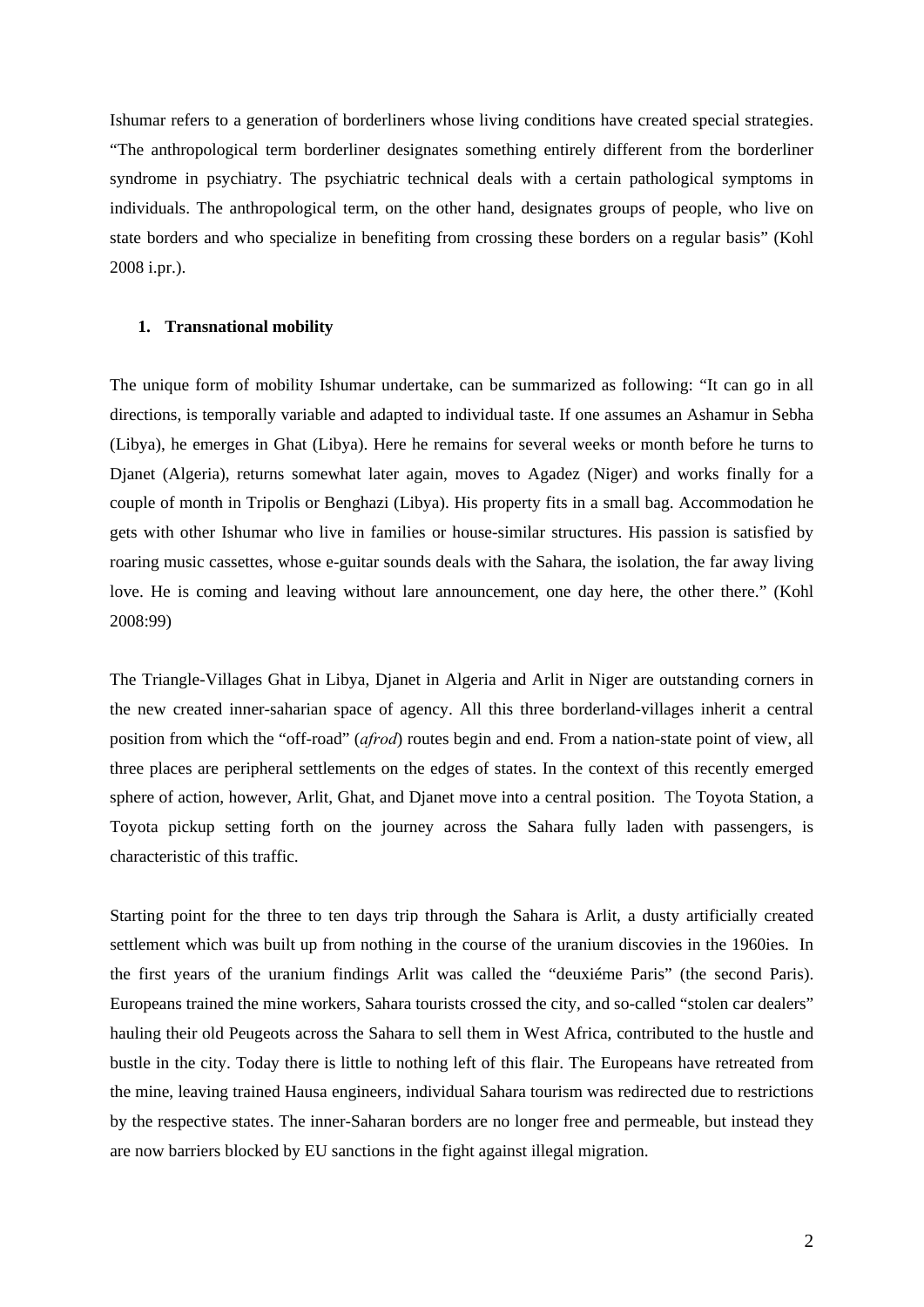Ishumar refers to a generation of borderliners whose living conditions have created special strategies. "The anthropological term borderliner designates something entirely different from the borderliner syndrome in psychiatry. The psychiatric technical deals with a certain pathological symptoms in individuals. The anthropological term, on the other hand, designates groups of people, who live on state borders and who specialize in benefiting from crossing these borders on a regular basis" (Kohl 2008 i.pr.).

#### **1. Transnational mobility**

The unique form of mobility Ishumar undertake, can be summarized as following: "It can go in all directions, is temporally variable and adapted to individual taste. If one assumes an Ashamur in Sebha (Libya), he emerges in Ghat (Libya). Here he remains for several weeks or month before he turns to Djanet (Algeria), returns somewhat later again, moves to Agadez (Niger) and works finally for a couple of month in Tripolis or Benghazi (Libya). His property fits in a small bag. Accommodation he gets with other Ishumar who live in families or house-similar structures. His passion is satisfied by roaring music cassettes, whose e-guitar sounds deals with the Sahara, the isolation, the far away living love. He is coming and leaving without lare announcement, one day here, the other there." (Kohl 2008:99)

The Triangle-Villages Ghat in Libya, Djanet in Algeria and Arlit in Niger are outstanding corners in the new created inner-saharian space of agency. All this three borderland-villages inherit a central position from which the "off-road" (*afrod*) routes begin and end. From a nation-state point of view, all three places are peripheral settlements on the edges of states. In the context of this recently emerged sphere of action, however, Arlit, Ghat, and Djanet move into a central position. The Toyota Station, a Toyota pickup setting forth on the journey across the Sahara fully laden with passengers, is characteristic of this traffic.

Starting point for the three to ten days trip through the Sahara is Arlit, a dusty artificially created settlement which was built up from nothing in the course of the uranium discovies in the 1960ies. In the first years of the uranium findings Arlit was called the "deuxiéme Paris" (the second Paris). Europeans trained the mine workers, Sahara tourists crossed the city, and so-called "stolen car dealers" hauling their old Peugeots across the Sahara to sell them in West Africa, contributed to the hustle and bustle in the city. Today there is little to nothing left of this flair. The Europeans have retreated from the mine, leaving trained Hausa engineers, individual Sahara tourism was redirected due to restrictions by the respective states. The inner-Saharan borders are no longer free and permeable, but instead they are now barriers blocked by EU sanctions in the fight against illegal migration.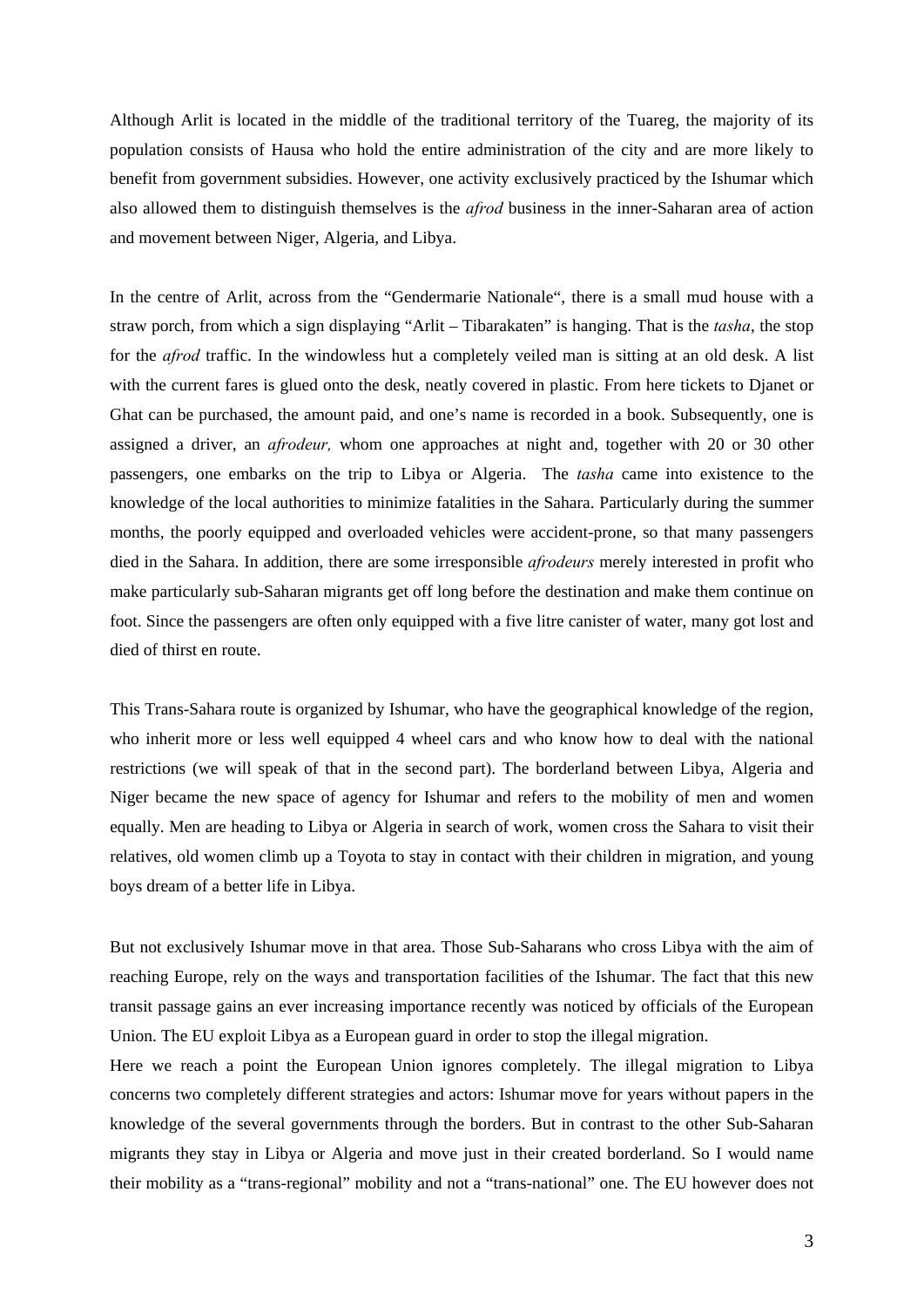Although Arlit is located in the middle of the traditional territory of the Tuareg, the majority of its population consists of Hausa who hold the entire administration of the city and are more likely to benefit from government subsidies. However, one activity exclusively practiced by the Ishumar which also allowed them to distinguish themselves is the *afrod* business in the inner-Saharan area of action and movement between Niger, Algeria, and Libya.

In the centre of Arlit, across from the "Gendermarie Nationale", there is a small mud house with a straw porch, from which a sign displaying "Arlit – Tibarakaten" is hanging. That is the *tasha*, the stop for the *afrod* traffic. In the windowless hut a completely veiled man is sitting at an old desk. A list with the current fares is glued onto the desk, neatly covered in plastic. From here tickets to Djanet or Ghat can be purchased, the amount paid, and one's name is recorded in a book. Subsequently, one is assigned a driver, an *afrodeur,* whom one approaches at night and, together with 20 or 30 other passengers, one embarks on the trip to Libya or Algeria. The *tasha* came into existence to the knowledge of the local authorities to minimize fatalities in the Sahara. Particularly during the summer months, the poorly equipped and overloaded vehicles were accident-prone, so that many passengers died in the Sahara. In addition, there are some irresponsible *afrodeurs* merely interested in profit who make particularly sub-Saharan migrants get off long before the destination and make them continue on foot. Since the passengers are often only equipped with a five litre canister of water, many got lost and died of thirst en route.

This Trans-Sahara route is organized by Ishumar, who have the geographical knowledge of the region, who inherit more or less well equipped 4 wheel cars and who know how to deal with the national restrictions (we will speak of that in the second part). The borderland between Libya, Algeria and Niger became the new space of agency for Ishumar and refers to the mobility of men and women equally. Men are heading to Libya or Algeria in search of work, women cross the Sahara to visit their relatives, old women climb up a Toyota to stay in contact with their children in migration, and young boys dream of a better life in Libya.

But not exclusively Ishumar move in that area. Those Sub-Saharans who cross Libya with the aim of reaching Europe, rely on the ways and transportation facilities of the Ishumar. The fact that this new transit passage gains an ever increasing importance recently was noticed by officials of the European Union. The EU exploit Libya as a European guard in order to stop the illegal migration.

Here we reach a point the European Union ignores completely. The illegal migration to Libya concerns two completely different strategies and actors: Ishumar move for years without papers in the knowledge of the several governments through the borders. But in contrast to the other Sub-Saharan migrants they stay in Libya or Algeria and move just in their created borderland. So I would name their mobility as a "trans-regional" mobility and not a "trans-national" one. The EU however does not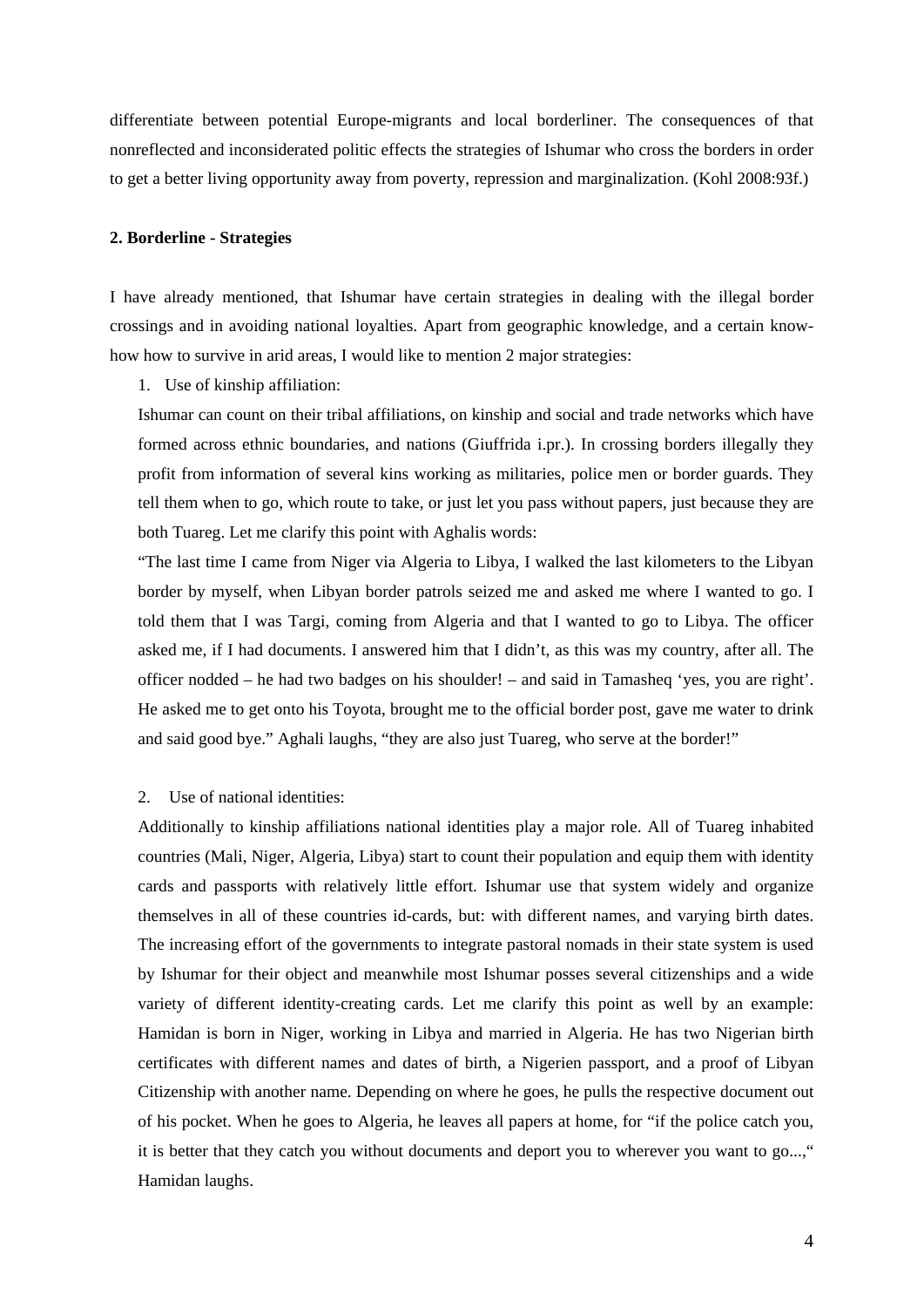differentiate between potential Europe-migrants and local borderliner. The consequences of that nonreflected and inconsiderated politic effects the strategies of Ishumar who cross the borders in order to get a better living opportunity away from poverty, repression and marginalization. (Kohl 2008:93f.)

## **2. Borderline - Strategies**

I have already mentioned, that Ishumar have certain strategies in dealing with the illegal border crossings and in avoiding national loyalties. Apart from geographic knowledge, and a certain knowhow how to survive in arid areas, I would like to mention 2 major strategies:

1. Use of kinship affiliation:

Ishumar can count on their tribal affiliations, on kinship and social and trade networks which have formed across ethnic boundaries, and nations (Giuffrida i.pr.). In crossing borders illegally they profit from information of several kins working as militaries, police men or border guards. They tell them when to go, which route to take, or just let you pass without papers, just because they are both Tuareg. Let me clarify this point with Aghalis words:

"The last time I came from Niger via Algeria to Libya, I walked the last kilometers to the Libyan border by myself, when Libyan border patrols seized me and asked me where I wanted to go. I told them that I was Targi, coming from Algeria and that I wanted to go to Libya. The officer asked me, if I had documents. I answered him that I didn't, as this was my country, after all. The officer nodded – he had two badges on his shoulder! – and said in Tamasheq 'yes, you are right'. He asked me to get onto his Toyota, brought me to the official border post, gave me water to drink and said good bye." Aghali laughs, "they are also just Tuareg, who serve at the border!"

#### 2. Use of national identities:

Additionally to kinship affiliations national identities play a major role. All of Tuareg inhabited countries (Mali, Niger, Algeria, Libya) start to count their population and equip them with identity cards and passports with relatively little effort. Ishumar use that system widely and organize themselves in all of these countries id-cards, but: with different names, and varying birth dates. The increasing effort of the governments to integrate pastoral nomads in their state system is used by Ishumar for their object and meanwhile most Ishumar posses several citizenships and a wide variety of different identity-creating cards. Let me clarify this point as well by an example: Hamidan is born in Niger, working in Libya and married in Algeria. He has two Nigerian birth certificates with different names and dates of birth, a Nigerien passport, and a proof of Libyan Citizenship with another name. Depending on where he goes, he pulls the respective document out of his pocket. When he goes to Algeria, he leaves all papers at home, for "if the police catch you, it is better that they catch you without documents and deport you to wherever you want to go...," Hamidan laughs.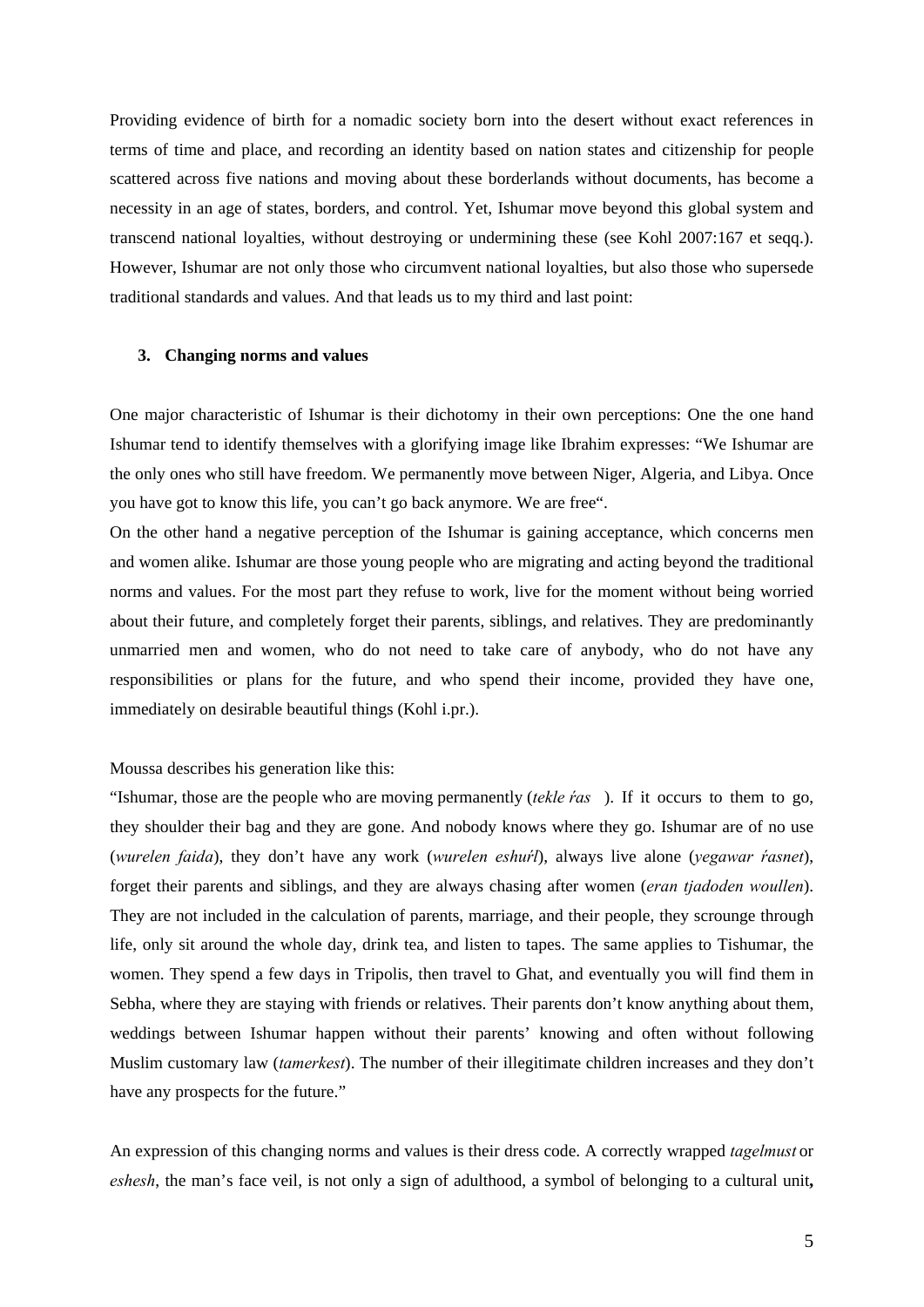Providing evidence of birth for a nomadic society born into the desert without exact references in terms of time and place, and recording an identity based on nation states and citizenship for people scattered across five nations and moving about these borderlands without documents, has become a necessity in an age of states, borders, and control. Yet, Ishumar move beyond this global system and transcend national loyalties, without destroying or undermining these (see Kohl 2007:167 et seqq.). However, Ishumar are not only those who circumvent national loyalties, but also those who supersede traditional standards and values. And that leads us to my third and last point:

#### **3. Changing norms and values**

One major characteristic of Ishumar is their dichotomy in their own perceptions: One the one hand Ishumar tend to identify themselves with a glorifying image like Ibrahim expresses: "We Ishumar are the only ones who still have freedom. We permanently move between Niger, Algeria, and Libya. Once you have got to know this life, you can't go back anymore. We are free".

On the other hand a negative perception of the Ishumar is gaining acceptance, which concerns men and women alike. Ishumar are those young people who are migrating and acting beyond the traditional norms and values. For the most part they refuse to work, live for the moment without being worried about their future, and completely forget their parents, siblings, and relatives. They are predominantly unmarried men and women, who do not need to take care of anybody, who do not have any responsibilities or plans for the future, and who spend their income, provided they have one, immediately on desirable beautiful things (Kohl i.pr.).

Moussa describes his generation like this:

"Ishumar, those are the people who are moving permanently (*tekle ŕas* ). If it occurs to them to go, they shoulder their bag and they are gone. And nobody knows where they go. Ishumar are of no use (*wurelen faida*), they don't have any work (*wurelen eshuŕl*), always live alone (*yegawar ŕasnet*), forget their parents and siblings, and they are always chasing after women (*eran tjadoden woullen*). They are not included in the calculation of parents, marriage, and their people, they scrounge through life, only sit around the whole day, drink tea, and listen to tapes. The same applies to Tishumar, the women. They spend a few days in Tripolis, then travel to Ghat, and eventually you will find them in Sebha, where they are staying with friends or relatives. Their parents don't know anything about them, weddings between Ishumar happen without their parents' knowing and often without following Muslim customary law (*tamerkest*). The number of their illegitimate children increases and they don't have any prospects for the future."

An expression of this changing norms and values is their dress code. A correctly wrapped *tagelmust* or *eshesh*, the man's face veil, is not only a sign of adulthood, a symbol of belonging to a cultural unit**,**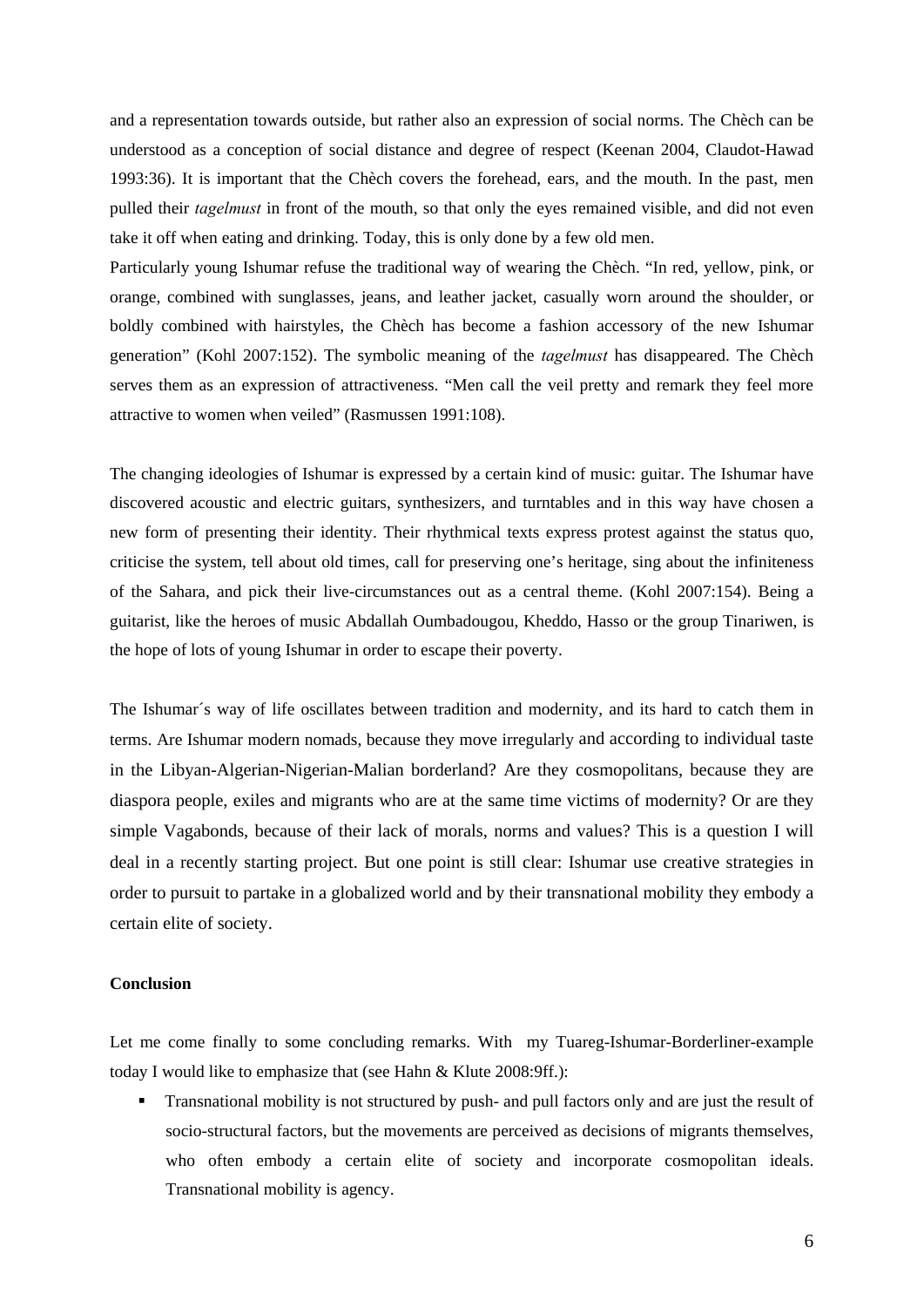and a representation towards outside, but rather also an expression of social norms. The Chèch can be understood as a conception of social distance and degree of respect (Keenan 2004, Claudot-Hawad 1993:36). It is important that the Chèch covers the forehead, ears, and the mouth. In the past, men pulled their *tagelmust* in front of the mouth, so that only the eyes remained visible, and did not even take it off when eating and drinking. Today, this is only done by a few old men.

Particularly young Ishumar refuse the traditional way of wearing the Chèch. "In red, yellow, pink, or orange, combined with sunglasses, jeans, and leather jacket, casually worn around the shoulder, or boldly combined with hairstyles, the Chèch has become a fashion accessory of the new Ishumar generation" (Kohl 2007:152). The symbolic meaning of the *tagelmust* has disappeared. The Chèch serves them as an expression of attractiveness. "Men call the veil pretty and remark they feel more attractive to women when veiled" (Rasmussen 1991:108).

The changing ideologies of Ishumar is expressed by a certain kind of music: guitar. The Ishumar have discovered acoustic and electric guitars, synthesizers, and turntables and in this way have chosen a new form of presenting their identity. Their rhythmical texts express protest against the status quo, criticise the system, tell about old times, call for preserving one's heritage, sing about the infiniteness of the Sahara, and pick their live-circumstances out as a central theme. (Kohl 2007:154). Being a guitarist, like the heroes of music Abdallah Oumbadougou, Kheddo, Hasso or the group Tinariwen, is the hope of lots of young Ishumar in order to escape their poverty.

The Ishumar´s way of life oscillates between tradition and modernity, and its hard to catch them in terms. Are Ishumar modern nomads, because they move irregularly and according to individual taste in the Libyan-Algerian-Nigerian-Malian borderland? Are they cosmopolitans, because they are diaspora people, exiles and migrants who are at the same time victims of modernity? Or are they simple Vagabonds, because of their lack of morals, norms and values? This is a question I will deal in a recently starting project. But one point is still clear: Ishumar use creative strategies in order to pursuit to partake in a globalized world and by their transnational mobility they embody a certain elite of society.

## **Conclusion**

Let me come finally to some concluding remarks. With my Tuareg-Ishumar-Borderliner-example today I would like to emphasize that (see Hahn & Klute 2008:9ff.):

 Transnational mobility is not structured by push- and pull factors only and are just the result of socio-structural factors, but the movements are perceived as decisions of migrants themselves, who often embody a certain elite of society and incorporate cosmopolitan ideals. Transnational mobility is agency.